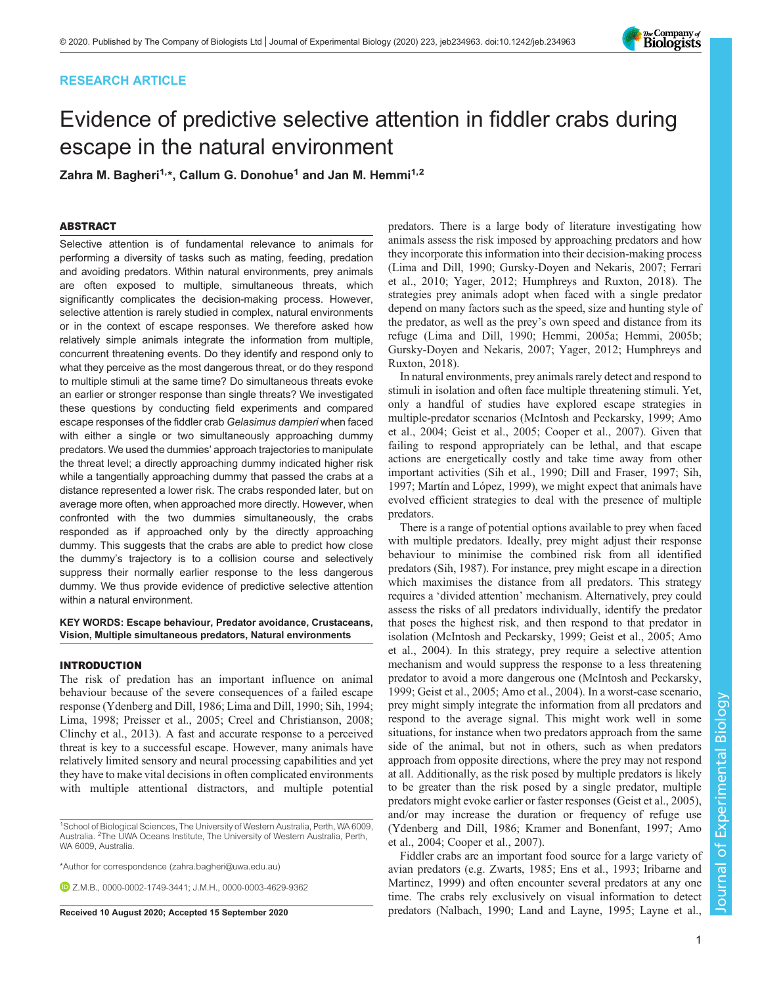# RESEARCH ARTICLE



# Evidence of predictive selective attention in fiddler crabs during escape in the natural environment

Zahra M. Bagheri<sup>1,\*</sup>, Callum G. Donohue<sup>1</sup> and Jan M. Hemmi<sup>1,2</sup>

# ABSTRACT

Selective attention is of fundamental relevance to animals for performing a diversity of tasks such as mating, feeding, predation and avoiding predators. Within natural environments, prey animals are often exposed to multiple, simultaneous threats, which significantly complicates the decision-making process. However, selective attention is rarely studied in complex, natural environments or in the context of escape responses. We therefore asked how relatively simple animals integrate the information from multiple, concurrent threatening events. Do they identify and respond only to what they perceive as the most dangerous threat, or do they respond to multiple stimuli at the same time? Do simultaneous threats evoke an earlier or stronger response than single threats? We investigated these questions by conducting field experiments and compared escape responses of the fiddler crab Gelasimus dampieri when faced with either a single or two simultaneously approaching dummy predators. We used the dummies' approach trajectories to manipulate the threat level; a directly approaching dummy indicated higher risk while a tangentially approaching dummy that passed the crabs at a distance represented a lower risk. The crabs responded later, but on average more often, when approached more directly. However, when confronted with the two dummies simultaneously, the crabs responded as if approached only by the directly approaching dummy. This suggests that the crabs are able to predict how close the dummy's trajectory is to a collision course and selectively suppress their normally earlier response to the less dangerous dummy. We thus provide evidence of predictive selective attention within a natural environment.

# KEY WORDS: Escape behaviour, Predator avoidance, Crustaceans, Vision, Multiple simultaneous predators, Natural environments

## INTRODUCTION

The risk of predation has an important influence on animal behaviour because of the severe consequences of a failed escape response ([Ydenberg and Dill, 1986; Lima and Dill, 1990](#page-8-0); [Sih, 1994](#page-8-0); [Lima, 1998; Preisser et al., 2005](#page-8-0); [Creel and Christianson, 2008](#page-7-0); [Clinchy et al., 2013](#page-7-0)). A fast and accurate response to a perceived threat is key to a successful escape. However, many animals have relatively limited sensory and neural processing capabilities and yet they have to make vital decisions in often complicated environments with multiple attentional distractors, and multiple potential

\*Author for correspondence [\(zahra.bagheri@uwa.edu.au](mailto:zahra.bagheri@uwa.edu.au))

Z.M.B., [0000-0002-1749-3441](http://orcid.org/0000-0002-1749-3441); J.M.H., [0000-0003-4629-9362](http://orcid.org/0000-0003-4629-9362)

predators. There is a large body of literature investigating how animals assess the risk imposed by approaching predators and how they incorporate this information into their decision-making process [\(Lima and Dill, 1990](#page-8-0); [Gursky-Doyen and Nekaris, 2007; Ferrari](#page-7-0) [et al., 2010;](#page-7-0) [Yager, 2012](#page-8-0); [Humphreys and Ruxton, 2018\)](#page-7-0). The strategies prey animals adopt when faced with a single predator depend on many factors such as the speed, size and hunting style of the predator, as well as the prey's own speed and distance from its refuge ([Lima and Dill, 1990](#page-8-0); [Hemmi, 2005a; Hemmi, 2005b](#page-7-0); [Gursky-Doyen and Nekaris, 2007](#page-7-0); [Yager, 2012](#page-8-0); [Humphreys and](#page-7-0) [Ruxton, 2018\)](#page-7-0).

In natural environments, prey animals rarely detect and respond to stimuli in isolation and often face multiple threatening stimuli. Yet, only a handful of studies have explored escape strategies in multiple-predator scenarios [\(McIntosh and Peckarsky, 1999;](#page-8-0) [Amo](#page-7-0) [et al., 2004; Geist et al., 2005; Cooper et al., 2007](#page-7-0)). Given that failing to respond appropriately can be lethal, and that escape actions are energetically costly and take time away from other important activities [\(Sih et al., 1990](#page-8-0); [Dill and Fraser, 1997;](#page-7-0) [Sih,](#page-8-0) [1997; Martín and López, 1999](#page-8-0)), we might expect that animals have evolved efficient strategies to deal with the presence of multiple predators.

There is a range of potential options available to prey when faced with multiple predators. Ideally, prey might adjust their response behaviour to minimise the combined risk from all identified predators ([Sih, 1987\)](#page-8-0). For instance, prey might escape in a direction which maximises the distance from all predators. This strategy requires a 'divided attention' mechanism. Alternatively, prey could assess the risks of all predators individually, identify the predator that poses the highest risk, and then respond to that predator in isolation [\(McIntosh and Peckarsky, 1999;](#page-8-0) [Geist et al., 2005; Amo](#page-7-0) [et al., 2004](#page-7-0)). In this strategy, prey require a selective attention mechanism and would suppress the response to a less threatening predator to avoid a more dangerous one [\(McIntosh and Peckarsky,](#page-8-0) [1999;](#page-8-0) [Geist et al., 2005](#page-7-0); [Amo et al., 2004](#page-7-0)). In a worst-case scenario, prey might simply integrate the information from all predators and respond to the average signal. This might work well in some situations, for instance when two predators approach from the same side of the animal, but not in others, such as when predators approach from opposite directions, where the prey may not respond at all. Additionally, as the risk posed by multiple predators is likely to be greater than the risk posed by a single predator, multiple predators might evoke earlier or faster responses ([Geist et al., 2005\)](#page-7-0), and/or may increase the duration or frequency of refuge use [\(Ydenberg and Dill, 1986](#page-8-0); [Kramer and Bonenfant, 1997](#page-7-0); [Amo](#page-7-0) [et al., 2004; Cooper et al., 2007\)](#page-7-0).

Fiddler crabs are an important food source for a large variety of avian predators (e.g. [Zwarts, 1985](#page-8-0); [Ens et al., 1993](#page-7-0); [Iribarne and](#page-7-0) [Martinez, 1999\)](#page-7-0) and often encounter several predators at any one time. The crabs rely exclusively on visual information to detect Received 10 August 2020; Accepted 15 September 2020 predators ([Nalbach, 1990;](#page-8-0) [Land and Layne, 1995](#page-7-0); [Layne et al.,](#page-7-0)

<sup>&</sup>lt;sup>1</sup>School of Biological Sciences, The University of Western Australia, Perth, WA 6009, Australia. <sup>2</sup>The UWA Oceans Institute, The University of Western Australia, Perth, WA 6009, Australia.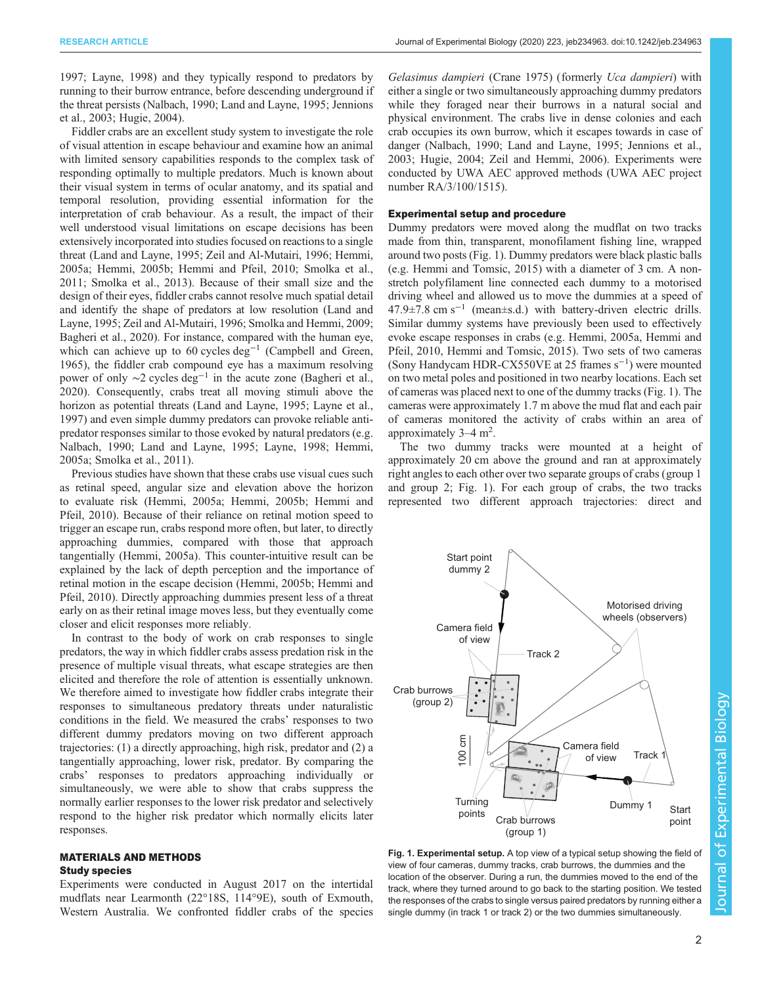<span id="page-1-0"></span>[1997](#page-7-0); [Layne, 1998\)](#page-7-0) and they typically respond to predators by running to their burrow entrance, before descending underground if the threat persists [\(Nalbach, 1990;](#page-8-0) [Land and Layne, 1995](#page-7-0); [Jennions](#page-7-0) [et al., 2003; Hugie, 2004\)](#page-7-0).

Fiddler crabs are an excellent study system to investigate the role of visual attention in escape behaviour and examine how an animal with limited sensory capabilities responds to the complex task of responding optimally to multiple predators. Much is known about their visual system in terms of ocular anatomy, and its spatial and temporal resolution, providing essential information for the interpretation of crab behaviour. As a result, the impact of their well understood visual limitations on escape decisions has been extensively incorporated into studies focused on reactions to a single threat [\(Land and Layne, 1995;](#page-7-0) [Zeil and Al-Mutairi, 1996](#page-8-0); [Hemmi,](#page-7-0) [2005a](#page-7-0); [Hemmi, 2005b; Hemmi and Pfeil, 2010](#page-7-0); [Smolka et al.,](#page-8-0) [2011](#page-8-0); [Smolka et al., 2013](#page-8-0)). Because of their small size and the design of their eyes, fiddler crabs cannot resolve much spatial detail and identify the shape of predators at low resolution ([Land and](#page-7-0) [Layne, 1995;](#page-7-0) [Zeil and Al-Mutairi, 1996](#page-8-0); [Smolka and Hemmi, 2009](#page-8-0); [Bagheri et al., 2020](#page-7-0)). For instance, compared with the human eye, which can achieve up to 60 cycles  $\text{deg}^{-1}$  [\(Campbell and Green,](#page-7-0) [1965](#page-7-0)), the fiddler crab compound eye has a maximum resolving power of only  $\sim$ 2 cycles deg<sup>-1</sup> in the acute zone ([Bagheri et al.,](#page-7-0) [2020](#page-7-0)). Consequently, crabs treat all moving stimuli above the horizon as potential threats [\(Land and Layne, 1995; Layne et al.,](#page-7-0) [1997](#page-7-0)) and even simple dummy predators can provoke reliable antipredator responses similar to those evoked by natural predators (e.g. [Nalbach, 1990](#page-8-0); [Land and Layne, 1995](#page-7-0); [Layne, 1998; Hemmi,](#page-7-0) [2005a](#page-7-0); [Smolka et al., 2011\)](#page-8-0).

Previous studies have shown that these crabs use visual cues such as retinal speed, angular size and elevation above the horizon to evaluate risk ([Hemmi, 2005a; Hemmi, 2005b](#page-7-0); [Hemmi and](#page-7-0) [Pfeil, 2010](#page-7-0)). Because of their reliance on retinal motion speed to trigger an escape run, crabs respond more often, but later, to directly approaching dummies, compared with those that approach tangentially ([Hemmi, 2005a](#page-7-0)). This counter-intuitive result can be explained by the lack of depth perception and the importance of retinal motion in the escape decision ([Hemmi, 2005b](#page-7-0); [Hemmi and](#page-7-0) [Pfeil, 2010\)](#page-7-0). Directly approaching dummies present less of a threat early on as their retinal image moves less, but they eventually come closer and elicit responses more reliably.

In contrast to the body of work on crab responses to single predators, the way in which fiddler crabs assess predation risk in the presence of multiple visual threats, what escape strategies are then elicited and therefore the role of attention is essentially unknown. We therefore aimed to investigate how fiddler crabs integrate their responses to simultaneous predatory threats under naturalistic conditions in the field. We measured the crabs' responses to two different dummy predators moving on two different approach trajectories: (1) a directly approaching, high risk, predator and (2) a tangentially approaching, lower risk, predator. By comparing the crabs' responses to predators approaching individually or simultaneously, we were able to show that crabs suppress the normally earlier responses to the lower risk predator and selectively respond to the higher risk predator which normally elicits later responses.

# MATERIALS AND METHODS

#### Study species

Experiments were conducted in August 2017 on the intertidal mudflats near Learmonth (22°18S, 114°9E), south of Exmouth, Western Australia. We confronted fiddler crabs of the species

Gelasimus dampieri (Crane 1975) (formerly Uca dampieri) with either a single or two simultaneously approaching dummy predators while they foraged near their burrows in a natural social and physical environment. The crabs live in dense colonies and each crab occupies its own burrow, which it escapes towards in case of danger ([Nalbach, 1990](#page-8-0); [Land and Layne, 1995; Jennions et al.,](#page-7-0) [2003; Hugie, 2004;](#page-7-0) [Zeil and Hemmi, 2006\)](#page-8-0). Experiments were conducted by UWA AEC approved methods (UWA AEC project number RA/3/100/1515).

# Experimental setup and procedure

Dummy predators were moved along the mudflat on two tracks made from thin, transparent, monofilament fishing line, wrapped around two posts (Fig. 1). Dummy predators were black plastic balls (e.g. [Hemmi and Tomsic, 2015\)](#page-7-0) with a diameter of 3 cm. A nonstretch polyfilament line connected each dummy to a motorised driving wheel and allowed us to move the dummies at a speed of  $47.9 \pm 7.8$  cm s<sup>-1</sup> (mean $\pm$ s.d.) with battery-driven electric drills. Similar dummy systems have previously been used to effectively evoke escape responses in crabs (e.g. [Hemmi, 2005a, Hemmi and](#page-7-0) [Pfeil, 2010, Hemmi and Tomsic, 2015\)](#page-7-0). Two sets of two cameras (Sony Handycam HDR-CX550VE at 25 frames s−<sup>1</sup> ) were mounted on two metal poles and positioned in two nearby locations. Each set of cameras was placed next to one of the dummy tracks (Fig. 1). The cameras were approximately 1.7 m above the mud flat and each pair of cameras monitored the activity of crabs within an area of approximately  $3-4$  m<sup>2</sup>.

The two dummy tracks were mounted at a height of approximately 20 cm above the ground and ran at approximately right angles to each other over two separate groups of crabs (group 1 and group 2; Fig. 1). For each group of crabs, the two tracks represented two different approach trajectories: direct and



Fig. 1. Experimental setup. A top view of a typical setup showing the field of view of four cameras, dummy tracks, crab burrows, the dummies and the location of the observer. During a run, the dummies moved to the end of the track, where they turned around to go back to the starting position. We tested the responses of the crabs to single versus paired predators by running either a single dummy (in track 1 or track 2) or the two dummies simultaneously.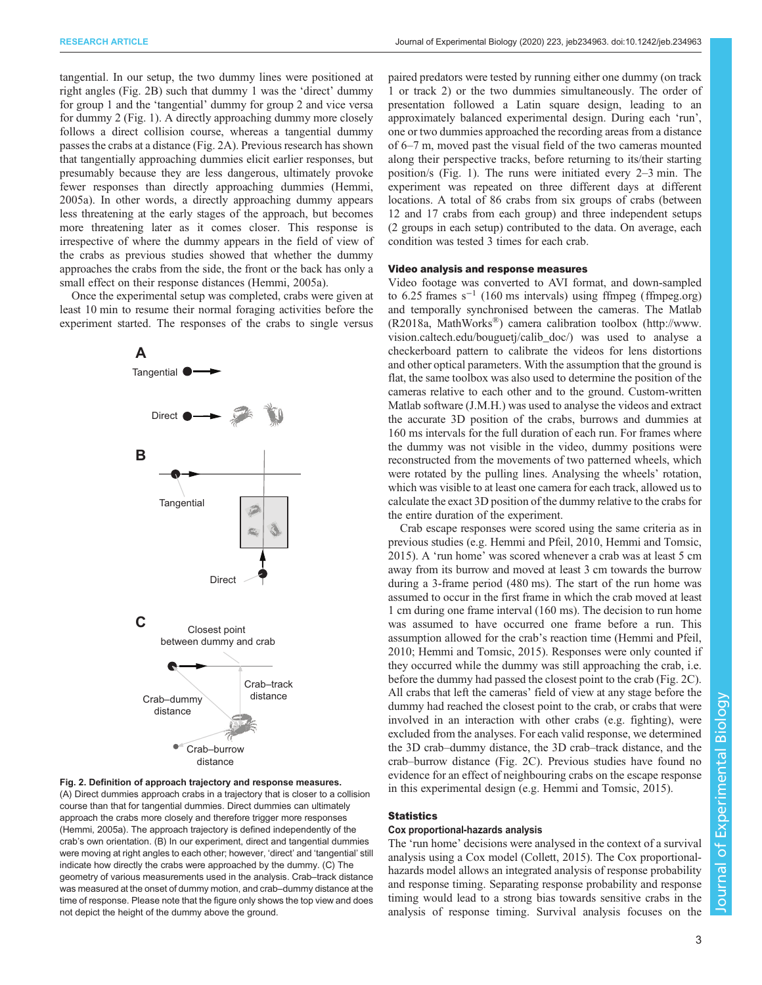<span id="page-2-0"></span>tangential. In our setup, the two dummy lines were positioned at right angles (Fig. 2B) such that dummy 1 was the 'direct' dummy for group 1 and the 'tangential' dummy for group 2 and vice versa for dummy 2 ([Fig. 1\)](#page-1-0). A directly approaching dummy more closely follows a direct collision course, whereas a tangential dummy passes the crabs at a distance (Fig. 2A). Previous research has shown that tangentially approaching dummies elicit earlier responses, but presumably because they are less dangerous, ultimately provoke fewer responses than directly approaching dummies [\(Hemmi,](#page-7-0) [2005a](#page-7-0)). In other words, a directly approaching dummy appears less threatening at the early stages of the approach, but becomes more threatening later as it comes closer. This response is irrespective of where the dummy appears in the field of view of the crabs as previous studies showed that whether the dummy approaches the crabs from the side, the front or the back has only a small effect on their response distances [\(Hemmi, 2005a\)](#page-7-0).

Once the experimental setup was completed, crabs were given at least 10 min to resume their normal foraging activities before the experiment started. The responses of the crabs to single versus





paired predators were tested by running either one dummy (on track 1 or track 2) or the two dummies simultaneously. The order of presentation followed a Latin square design, leading to an approximately balanced experimental design. During each 'run', one or two dummies approached the recording areas from a distance of 6–7 m, moved past the visual field of the two cameras mounted along their perspective tracks, before returning to its/their starting position/s [\(Fig. 1](#page-1-0)). The runs were initiated every 2–3 min. The experiment was repeated on three different days at different locations. A total of 86 crabs from six groups of crabs (between 12 and 17 crabs from each group) and three independent setups (2 groups in each setup) contributed to the data. On average, each condition was tested 3 times for each crab.

# Video analysis and response measures

Video footage was converted to AVI format, and down-sampled to 6.25 frames  $s^{-1}$  (160 ms intervals) using ffmpeg [\(ffmpeg.org\)](http://ffmpeg.org/) and temporally synchronised between the cameras. The Matlab (R2018a, MathWorks®) camera calibration toolbox ([http://www.](http://www.vision.caltech.edu/bouguetj/calib_doc/) [vision.caltech.edu/bouguetj/calib\\_doc/\)](http://www.vision.caltech.edu/bouguetj/calib_doc/) was used to analyse a checkerboard pattern to calibrate the videos for lens distortions and other optical parameters. With the assumption that the ground is flat, the same toolbox was also used to determine the position of the cameras relative to each other and to the ground. Custom-written Matlab software (J.M.H.) was used to analyse the videos and extract the accurate 3D position of the crabs, burrows and dummies at 160 ms intervals for the full duration of each run. For frames where the dummy was not visible in the video, dummy positions were reconstructed from the movements of two patterned wheels, which were rotated by the pulling lines. Analysing the wheels' rotation, which was visible to at least one camera for each track, allowed us to calculate the exact 3D position of the dummy relative to the crabs for the entire duration of the experiment.

Crab escape responses were scored using the same criteria as in previous studies (e.g. [Hemmi and Pfeil, 2010](#page-7-0), [Hemmi and Tomsic,](#page-7-0) [2015\)](#page-7-0). A 'run home' was scored whenever a crab was at least 5 cm away from its burrow and moved at least 3 cm towards the burrow during a 3-frame period (480 ms). The start of the run home was assumed to occur in the first frame in which the crab moved at least 1 cm during one frame interval (160 ms). The decision to run home was assumed to have occurred one frame before a run. This assumption allowed for the crab's reaction time ([Hemmi and Pfeil,](#page-7-0) [2010; Hemmi and Tomsic, 2015](#page-7-0)). Responses were only counted if they occurred while the dummy was still approaching the crab, i.e. before the dummy had passed the closest point to the crab (Fig. 2C). All crabs that left the cameras' field of view at any stage before the dummy had reached the closest point to the crab, or crabs that were involved in an interaction with other crabs (e.g. fighting), were excluded from the analyses. For each valid response, we determined the 3D crab–dummy distance, the 3D crab–track distance, and the crab–burrow distance (Fig. 2C). Previous studies have found no evidence for an effect of neighbouring crabs on the escape response in this experimental design (e.g. [Hemmi and Tomsic, 2015\)](#page-7-0).

## **Statistics**

## Cox proportional-hazards analysis

The 'run home' decisions were analysed in the context of a survival analysis using a Cox model ([Collett, 2015](#page-7-0)). The Cox proportionalhazards model allows an integrated analysis of response probability and response timing. Separating response probability and response timing would lead to a strong bias towards sensitive crabs in the analysis of response timing. Survival analysis focuses on the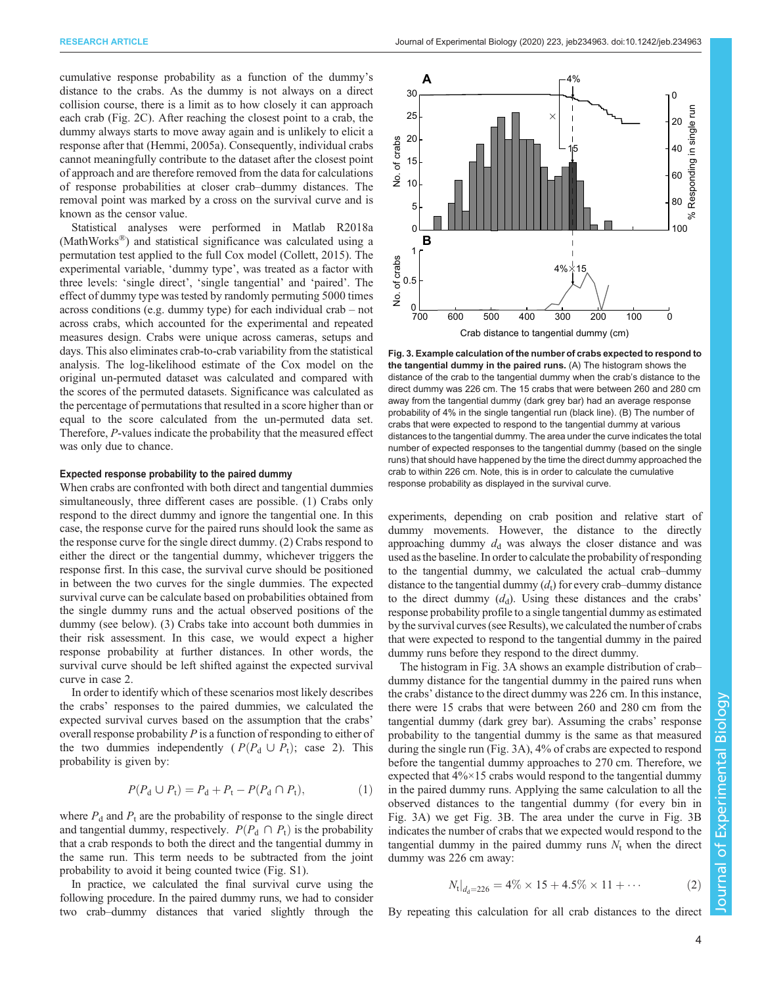cumulative response probability as a function of the dummy's distance to the crabs. As the dummy is not always on a direct collision course, there is a limit as to how closely it can approach each crab ([Fig. 2C](#page-2-0)). After reaching the closest point to a crab, the dummy always starts to move away again and is unlikely to elicit a response after that ([Hemmi, 2005a\)](#page-7-0). Consequently, individual crabs cannot meaningfully contribute to the dataset after the closest point of approach and are therefore removed from the data for calculations of response probabilities at closer crab–dummy distances. The removal point was marked by a cross on the survival curve and is known as the censor value.

Statistical analyses were performed in Matlab R2018a (MathWorks®) and statistical significance was calculated using a permutation test applied to the full Cox model [\(Collett, 2015](#page-7-0)). The experimental variable, 'dummy type', was treated as a factor with three levels: 'single direct', 'single tangential' and 'paired'. The effect of dummy type was tested by randomly permuting 5000 times across conditions (e.g. dummy type) for each individual crab – not across crabs, which accounted for the experimental and repeated measures design. Crabs were unique across cameras, setups and days. This also eliminates crab-to-crab variability from the statistical analysis. The log-likelihood estimate of the Cox model on the original un-permuted dataset was calculated and compared with the scores of the permuted datasets. Significance was calculated as the percentage of permutations that resulted in a score higher than or equal to the score calculated from the un-permuted data set. Therefore, P-values indicate the probability that the measured effect was only due to chance.

# Expected response probability to the paired dummy

When crabs are confronted with both direct and tangential dummies simultaneously, three different cases are possible. (1) Crabs only respond to the direct dummy and ignore the tangential one. In this case, the response curve for the paired runs should look the same as the response curve for the single direct dummy. (2) Crabs respond to either the direct or the tangential dummy, whichever triggers the response first. In this case, the survival curve should be positioned in between the two curves for the single dummies. The expected survival curve can be calculate based on probabilities obtained from the single dummy runs and the actual observed positions of the dummy (see below). (3) Crabs take into account both dummies in their risk assessment. In this case, we would expect a higher response probability at further distances. In other words, the survival curve should be left shifted against the expected survival curve in case 2.

In order to identify which of these scenarios most likely describes the crabs' responses to the paired dummies, we calculated the expected survival curves based on the assumption that the crabs' overall response probability  $P$  is a function of responding to either of the two dummies independently  $(P(P_d \cup P_t))$ ; case 2). This probability is given by:

$$
P(P_{d} \cup P_{t}) = P_{d} + P_{t} - P(P_{d} \cap P_{t}), \qquad (1)
$$

where  $P_d$  and  $P_t$  are the probability of response to the single direct and tangential dummy, respectively.  $P(P_d \cap P_t)$  is the probability that a crab responds to both the direct and the tangential dummy in the same run. This term needs to be subtracted from the joint probability to avoid it being counted twice [\(Fig. S1\)](https://jeb.biologists.org/lookup/doi/10.1242/jeb.234963.supplemental).

In practice, we calculated the final survival curve using the following procedure. In the paired dummy runs, we had to consider two crab–dummy distances that varied slightly through the



Fig. 3. Example calculation of the number of crabs expected to respond to the tangential dummy in the paired runs. (A) The histogram shows the distance of the crab to the tangential dummy when the crab's distance to the direct dummy was 226 cm. The 15 crabs that were between 260 and 280 cm away from the tangential dummy (dark grey bar) had an average response probability of 4% in the single tangential run (black line). (B) The number of crabs that were expected to respond to the tangential dummy at various distances to the tangential dummy. The area under the curve indicates the total number of expected responses to the tangential dummy (based on the single runs) that should have happened by the time the direct dummy approached the crab to within 226 cm. Note, this is in order to calculate the cumulative response probability as displayed in the survival curve.

experiments, depending on crab position and relative start of dummy movements. However, the distance to the directly approaching dummy  $d_d$  was always the closer distance and was used asthe baseline. In order to calculate the probability of responding to the tangential dummy, we calculated the actual crab–dummy distance to the tangential dummy  $(d_t)$  for every crab–dummy distance to the direct dummy  $(d_d)$ . Using these distances and the crabs' response probability profile to a single tangential dummy as estimated by the survival curves (see Results), we calculated the number of crabs that were expected to respond to the tangential dummy in the paired dummy runs before they respond to the direct dummy.

The histogram in Fig. 3A shows an example distribution of crab– dummy distance for the tangential dummy in the paired runs when the crabs' distance to the direct dummy was 226 cm. In this instance, there were 15 crabs that were between 260 and 280 cm from the tangential dummy (dark grey bar). Assuming the crabs' response probability to the tangential dummy is the same as that measured during the single run (Fig. 3A), 4% of crabs are expected to respond before the tangential dummy approaches to 270 cm. Therefore, we expected that  $4\frac{3}{x}$  15 crabs would respond to the tangential dummy in the paired dummy runs. Applying the same calculation to all the observed distances to the tangential dummy (for every bin in Fig. 3A) we get Fig. 3B. The area under the curve in Fig. 3B indicates the number of crabs that we expected would respond to the tangential dummy in the paired dummy runs  $N_t$  when the direct dummy was 226 cm away:

$$
N_t|_{d_d=226} = 4\% \times 15 + 4.5\% \times 11 + \cdots
$$
 (2)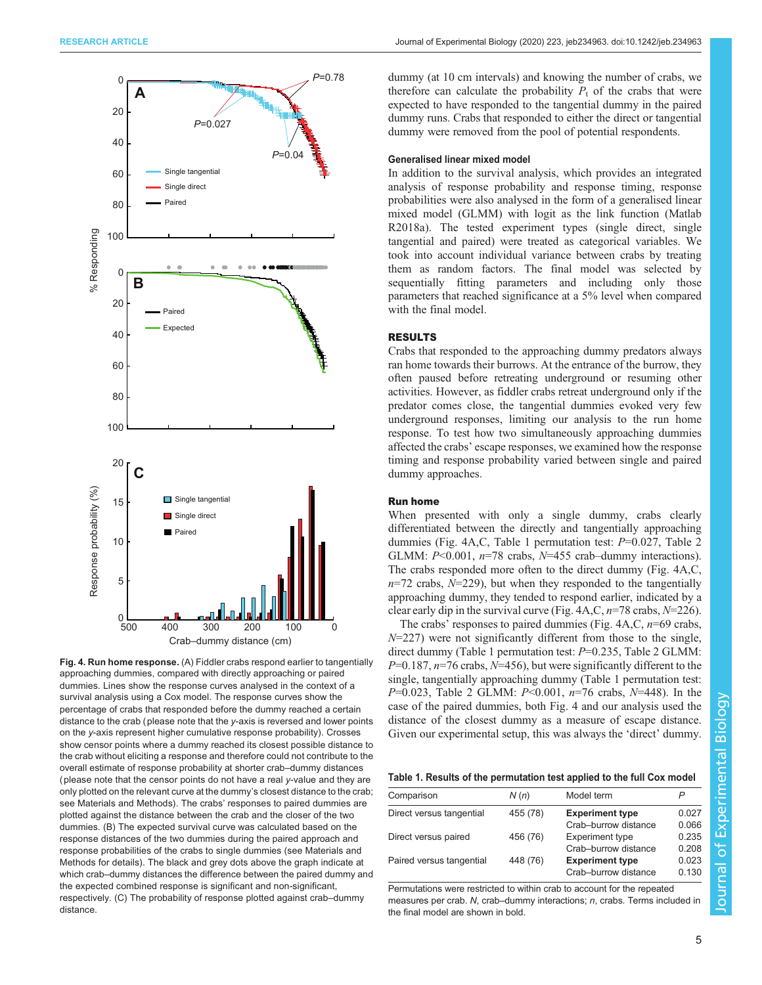<span id="page-4-0"></span>

Fig. 4. Run home response. (A) Fiddler crabs respond earlier to tangentially approaching dummies, compared with directly approaching or paired dummies. Lines show the response curves analysed in the context of a survival analysis using a Cox model. The response curves show the percentage of crabs that responded before the dummy reached a certain distance to the crab ( please note that the y-axis is reversed and lower points on the y-axis represent higher cumulative response probability). Crosses show censor points where a dummy reached its closest possible distance to the crab without eliciting a response and therefore could not contribute to the overall estimate of response probability at shorter crab–dummy distances ( please note that the censor points do not have a real y-value and they are only plotted on the relevant curve at the dummy's closest distance to the crab; see Materials and Methods). The crabs' responses to paired dummies are plotted against the distance between the crab and the closer of the two dummies. (B) The expected survival curve was calculated based on the response distances of the two dummies during the paired approach and response probabilities of the crabs to single dummies (see Materials and Methods for details). The black and grey dots above the graph indicate at which crab–dummy distances the difference between the paired dummy and the expected combined response is significant and non-significant, respectively. (C) The probability of response plotted against crab–dummy distance.

dummy (at 10 cm intervals) and knowing the number of crabs, we therefore can calculate the probability  $P_t$  of the crabs that were expected to have responded to the tangential dummy in the paired dummy runs. Crabs that responded to either the direct or tangential dummy were removed from the pool of potential respondents.

### Generalised linear mixed model

In addition to the survival analysis, which provides an integrated analysis of response probability and response timing, response probabilities were also analysed in the form of a generalised linear mixed model (GLMM) with logit as the link function (Matlab R2018a). The tested experiment types (single direct, single tangential and paired) were treated as categorical variables. We took into account individual variance between crabs by treating them as random factors. The final model was selected by sequentially fitting parameters and including only those parameters that reached significance at a 5% level when compared with the final model.

# RESULTS

Crabs that responded to the approaching dummy predators always ran home towards their burrows. At the entrance of the burrow, they often paused before retreating underground or resuming other activities. However, as fiddler crabs retreat underground only if the predator comes close, the tangential dummies evoked very few underground responses, limiting our analysis to the run home response. To test how two simultaneously approaching dummies affected the crabs' escape responses, we examined how the response timing and response probability varied between single and paired dummy approaches.

## Run home

When presented with only a single dummy, crabs clearly differentiated between the directly and tangentially approaching dummies (Fig. 4A,C, Table 1 permutation test: P=0.027, [Table 2](#page-5-0) GLMM:  $P<0.001$ ,  $n=78$  crabs,  $N=455$  crab-dummy interactions). The crabs responded more often to the direct dummy (Fig. 4A,C,  $n=72$  crabs,  $N=229$ ), but when they responded to the tangentially approaching dummy, they tended to respond earlier, indicated by a clear early dip in the survival curve (Fig.  $4A,C$ ,  $n=78$  crabs,  $N=226$ ).

The crabs' responses to paired dummies (Fig.  $4A, C, n=69$  crabs,  $N=227$ ) were not significantly different from those to the single, direct dummy (Table 1 permutation test:  $P=0.235$ , [Table 2](#page-5-0) GLMM:  $P=0.187$ ,  $n=76$  crabs,  $N=456$ ), but were significantly different to the single, tangentially approaching dummy (Table 1 permutation test:  $P=0.023$ , [Table 2](#page-5-0) GLMM:  $P<0.001$ ,  $n=76$  crabs,  $N=448$ ). In the case of the paired dummies, both Fig. 4 and our analysis used the distance of the closest dummy as a measure of escape distance. Given our experimental setup, this was always the 'direct' dummy.

## Table 1. Results of the permutation test applied to the full Cox model

| Comparison               | N(n)     | Model term             | P     |
|--------------------------|----------|------------------------|-------|
| Direct versus tangential | 455 (78) | <b>Experiment type</b> | 0.027 |
|                          |          | Crab-burrow distance   | 0.066 |
| Direct versus paired     | 456 (76) | <b>Experiment type</b> | 0.235 |
|                          |          | Crab-burrow distance   | 0.208 |
| Paired versus tangential | 448 (76) | <b>Experiment type</b> | 0.023 |
|                          |          | Crab-burrow distance   | 0.130 |
|                          |          |                        |       |

Permutations were restricted to within crab to account for the repeated measures per crab. N, crab-dummy interactions; n, crabs. Terms included in the final model are shown in bold.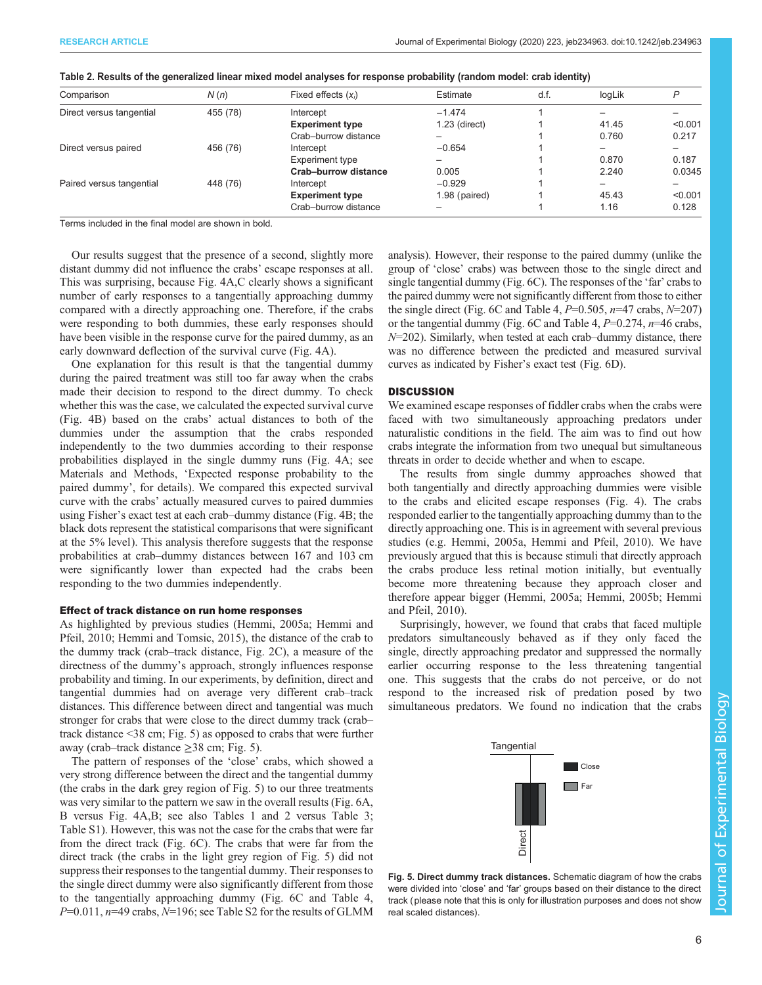| Comparison                           | N(n)                 | Fixed effects $(x_i)$  | Estimate        | d.f.  | logLik | P       |
|--------------------------------------|----------------------|------------------------|-----------------|-------|--------|---------|
| 455 (78)<br>Direct versus tangential |                      | Intercept              | $-1.474$        |       |        |         |
|                                      |                      | <b>Experiment type</b> | $1.23$ (direct) |       | 41.45  | < 0.001 |
|                                      |                      | Crab-burrow distance   |                 |       | 0.760  | 0.217   |
| 456 (76)<br>Direct versus paired     |                      | Intercept              | $-0.654$        |       |        |         |
|                                      |                      | <b>Experiment type</b> |                 |       | 0.870  | 0.187   |
|                                      | Crab-burrow distance | 0.005                  |                 | 2.240 | 0.0345 |         |
| 448 (76)<br>Paired versus tangential | Intercept            | $-0.929$               |                 |       |        |         |
|                                      |                      | <b>Experiment type</b> | $1.98$ (paired) |       | 45.43  | < 0.001 |
|                                      |                      | Crab-burrow distance   |                 |       | 1.16   | 0.128   |

<span id="page-5-0"></span>

| Table 2. Results of the generalized linear mixed model analyses for response probability (random model: crab identity) |  |  |  |
|------------------------------------------------------------------------------------------------------------------------|--|--|--|
|                                                                                                                        |  |  |  |

Terms included in the final model are shown in bold.

Our results suggest that the presence of a second, slightly more distant dummy did not influence the crabs' escape responses at all. This was surprising, because [Fig. 4A](#page-4-0),C clearly shows a significant number of early responses to a tangentially approaching dummy compared with a directly approaching one. Therefore, if the crabs were responding to both dummies, these early responses should have been visible in the response curve for the paired dummy, as an early downward deflection of the survival curve ([Fig. 4](#page-4-0)A).

One explanation for this result is that the tangential dummy during the paired treatment was still too far away when the crabs made their decision to respond to the direct dummy. To check whether this was the case, we calculated the expected survival curve [\(Fig. 4B](#page-4-0)) based on the crabs' actual distances to both of the dummies under the assumption that the crabs responded independently to the two dummies according to their response probabilities displayed in the single dummy runs [\(Fig. 4](#page-4-0)A; see Materials and Methods, 'Expected response probability to the paired dummy', for details). We compared this expected survival curve with the crabs' actually measured curves to paired dummies using Fisher's exact test at each crab–dummy distance [\(Fig. 4](#page-4-0)B; the black dots represent the statistical comparisons that were significant at the 5% level). This analysis therefore suggests that the response probabilities at crab–dummy distances between 167 and 103 cm were significantly lower than expected had the crabs been responding to the two dummies independently.

## Effect of track distance on run home responses

As highlighted by previous studies ([Hemmi, 2005a](#page-7-0); [Hemmi and](#page-7-0) [Pfeil, 2010; Hemmi and Tomsic, 2015](#page-7-0)), the distance of the crab to the dummy track (crab–track distance, [Fig. 2C](#page-2-0)), a measure of the directness of the dummy's approach, strongly influences response probability and timing. In our experiments, by definition, direct and tangential dummies had on average very different crab–track distances. This difference between direct and tangential was much stronger for crabs that were close to the direct dummy track (crab– track distance <38 cm; Fig. 5) as opposed to crabs that were further away (crab–track distance  $\geq$ 38 cm; Fig. 5).

The pattern of responses of the 'close' crabs, which showed a very strong difference between the direct and the tangential dummy (the crabs in the dark grey region of Fig. 5) to our three treatments was very similar to the pattern we saw in the overall results [\(Fig. 6A](#page-6-0), B versus [Fig. 4](#page-4-0)A,B; see also [Tables 1](#page-4-0) and 2 versus [Table 3](#page-6-0); [Table S1](https://jeb.biologists.org/lookup/doi/10.1242/jeb.234963.supplemental)). However, this was not the case for the crabs that were far from the direct track [\(Fig. 6C](#page-6-0)). The crabs that were far from the direct track (the crabs in the light grey region of Fig. 5) did not suppress their responses to the tangential dummy. Their responses to the single direct dummy were also significantly different from those to the tangentially approaching dummy ([Fig. 6](#page-6-0)C and [Table 4,](#page-6-0)  $P=0.011$ ,  $n=49$  crabs,  $N=196$ ; see [Table S2](https://jeb.biologists.org/lookup/doi/10.1242/jeb.234963.supplemental) for the results of GLMM

analysis). However, their response to the paired dummy (unlike the group of 'close' crabs) was between those to the single direct and single tangential dummy [\(Fig. 6](#page-6-0)C). The responses of the 'far' crabs to the paired dummy were not significantly different from those to either the single direct [\(Fig. 6](#page-6-0)C and [Table 4](#page-6-0),  $P=0.505$ ,  $n=47$  crabs,  $N=207$ ) or the tangential dummy [\(Fig. 6C](#page-6-0) and [Table 4](#page-6-0),  $P=0.274$ ,  $n=46$  crabs,  $N=202$ ). Similarly, when tested at each crab–dummy distance, there was no difference between the predicted and measured survival curves as indicated by Fisher's exact test [\(Fig. 6](#page-6-0)D).

## **DISCUSSION**

We examined escape responses of fiddler crabs when the crabs were faced with two simultaneously approaching predators under naturalistic conditions in the field. The aim was to find out how crabs integrate the information from two unequal but simultaneous threats in order to decide whether and when to escape.

The results from single dummy approaches showed that both tangentially and directly approaching dummies were visible to the crabs and elicited escape responses [\(Fig. 4\)](#page-4-0). The crabs responded earlier to the tangentially approaching dummy than to the directly approaching one. This is in agreement with several previous studies (e.g. [Hemmi, 2005a, Hemmi and Pfeil, 2010](#page-7-0)). We have previously argued that this is because stimuli that directly approach the crabs produce less retinal motion initially, but eventually become more threatening because they approach closer and therefore appear bigger [\(Hemmi, 2005a; Hemmi, 2005b; Hemmi](#page-7-0) [and Pfeil, 2010](#page-7-0)).

Surprisingly, however, we found that crabs that faced multiple predators simultaneously behaved as if they only faced the single, directly approaching predator and suppressed the normally earlier occurring response to the less threatening tangential one. This suggests that the crabs do not perceive, or do not respond to the increased risk of predation posed by two simultaneous predators. We found no indication that the crabs



Fig. 5. Direct dummy track distances. Schematic diagram of how the crabs were divided into 'close' and 'far' groups based on their distance to the direct track (please note that this is only for illustration purposes and does not show real scaled distances).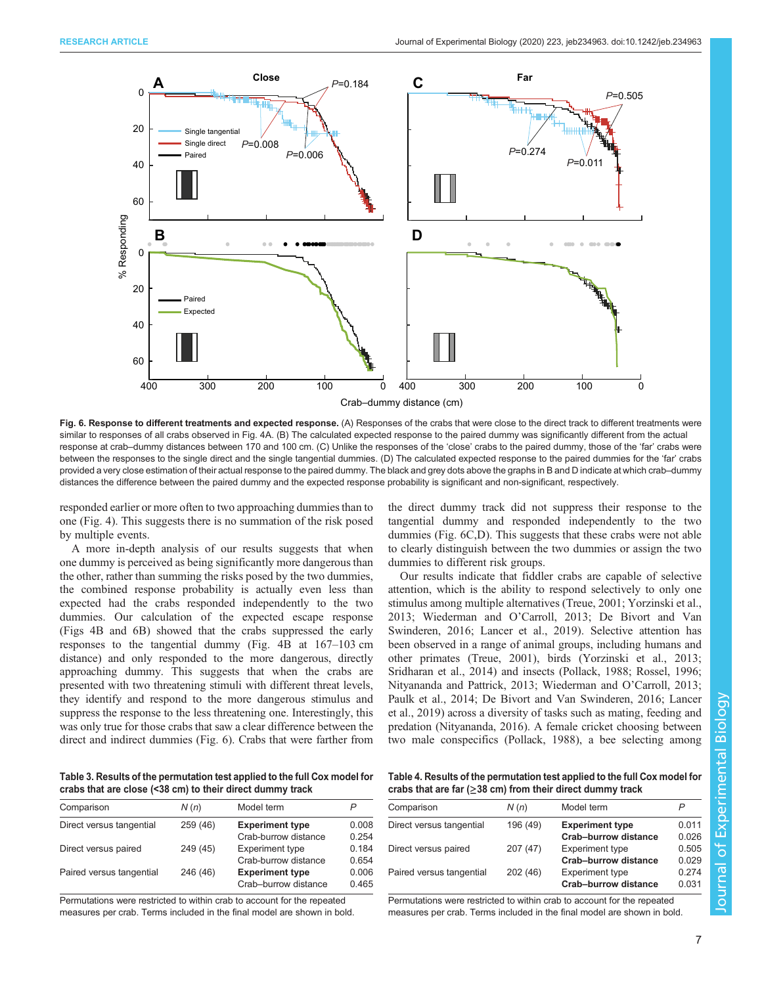<span id="page-6-0"></span>

Fig. 6. Response to different treatments and expected response. (A) Responses of the crabs that were close to the direct track to different treatments were similar to responses of all crabs observed in [Fig. 4](#page-4-0)A. (B) The calculated expected response to the paired dummy was significantly different from the actual response at crab–dummy distances between 170 and 100 cm. (C) Unlike the responses of the 'close' crabs to the paired dummy, those of the 'far' crabs were between the responses to the single direct and the single tangential dummies. (D) The calculated expected response to the paired dummies for the 'far' crabs provided a very close estimation of their actual response to the paired dummy. The black and grey dots above the graphs in B and D indicate at which crab–dummy distances the difference between the paired dummy and the expected response probability is significant and non-significant, respectively.

responded earlier or more often to two approaching dummies than to one [\(Fig. 4\)](#page-4-0). This suggests there is no summation of the risk posed by multiple events.

A more in-depth analysis of our results suggests that when one dummy is perceived as being significantly more dangerous than the other, rather than summing the risks posed by the two dummies, the combined response probability is actually even less than expected had the crabs responded independently to the two dummies. Our calculation of the expected escape response [\(Figs 4B](#page-4-0) and 6B) showed that the crabs suppressed the early responses to the tangential dummy [\(Fig. 4B](#page-4-0) at 167–103 cm distance) and only responded to the more dangerous, directly approaching dummy. This suggests that when the crabs are presented with two threatening stimuli with different threat levels, they identify and respond to the more dangerous stimulus and suppress the response to the less threatening one. Interestingly, this was only true for those crabs that saw a clear difference between the direct and indirect dummies (Fig. 6). Crabs that were farther from

Table 3. Results of the permutation test applied to the full Cox model for crabs that are close (<38 cm) to their direct dummy track

| Comparison               | N(n)     | Model term             | P     |
|--------------------------|----------|------------------------|-------|
| Direct versus tangential | 259(46)  | <b>Experiment type</b> | 0.008 |
|                          |          | Crab-burrow distance   | 0.254 |
| Direct versus paired     | 249 (45) | <b>Experiment type</b> | 0.184 |
|                          |          | Crab-burrow distance   | 0.654 |
| Paired versus tangential | 246 (46) | <b>Experiment type</b> | 0.006 |
|                          |          | Crab-burrow distance   | 0.465 |

Permutations were restricted to within crab to account for the repeated measures per crab. Terms included in the final model are shown in bold. the direct dummy track did not suppress their response to the tangential dummy and responded independently to the two dummies (Fig. 6C,D). This suggests that these crabs were not able to clearly distinguish between the two dummies or assign the two dummies to different risk groups.

Our results indicate that fiddler crabs are capable of selective attention, which is the ability to respond selectively to only one stimulus among multiple alternatives ([Treue, 2001; Yorzinski et al.,](#page-8-0) [2013; Wiederman and O](#page-8-0)'Carroll, 2013; [De Bivort and Van](#page-7-0) [Swinderen, 2016; Lancer et al., 2019](#page-7-0)). Selective attention has been observed in a range of animal groups, including humans and other primates [\(Treue, 2001](#page-8-0)), birds [\(Yorzinski et al., 2013](#page-8-0); [Sridharan et al., 2014](#page-8-0)) and insects [\(Pollack, 1988](#page-8-0); [Rossel, 1996](#page-8-0); [Nityananda and Pattrick, 2013; Wiederman and O](#page-8-0)'Carroll, 2013; [Paulk et al., 2014](#page-8-0); [De Bivort and Van Swinderen, 2016; Lancer](#page-7-0) [et al., 2019](#page-7-0)) across a diversity of tasks such as mating, feeding and predation [\(Nityananda, 2016\)](#page-8-0). A female cricket choosing between two male conspecifics ([Pollack, 1988\)](#page-8-0), a bee selecting among

| Table 4. Results of the permutation test applied to the full Cox model for |  |  |
|----------------------------------------------------------------------------|--|--|
| crabs that are far ( $\geq$ 38 cm) from their direct dummy track           |  |  |

| Comparison               | N(n)     | Model term                  | P     |
|--------------------------|----------|-----------------------------|-------|
| Direct versus tangential | 196 (49) | <b>Experiment type</b>      | 0.011 |
|                          |          | <b>Crab-burrow distance</b> | 0.026 |
| Direct versus paired     | 207 (47) | <b>Experiment type</b>      | 0.505 |
|                          |          | <b>Crab-burrow distance</b> | 0.029 |
| Paired versus tangential | 202 (46) | <b>Experiment type</b>      | 0.274 |
|                          |          | <b>Crab-burrow distance</b> | 0.031 |

Permutations were restricted to within crab to account for the repeated measures per crab. Terms included in the final model are shown in bold.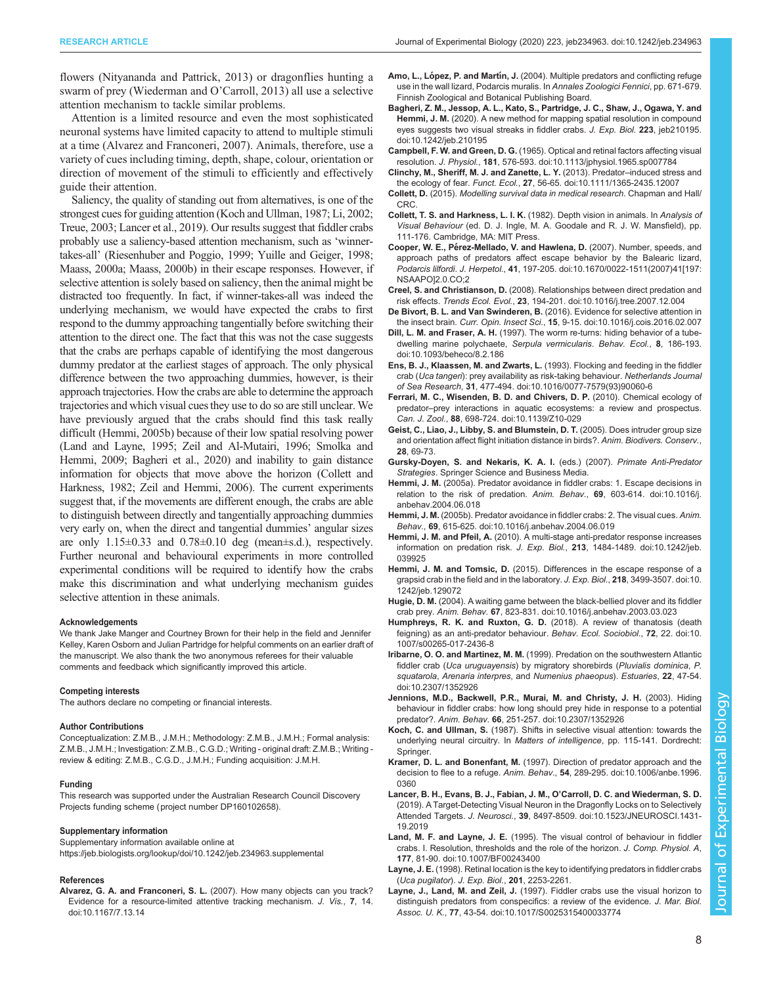<span id="page-7-0"></span>flowers [\(Nityananda and Pattrick, 2013\)](#page-8-0) or dragonflies hunting a swarm of prey [\(Wiederman and O](#page-8-0)'Carroll, 2013) all use a selective attention mechanism to tackle similar problems.

Attention is a limited resource and even the most sophisticated neuronal systems have limited capacity to attend to multiple stimuli at a time (Alvarez and Franconeri, 2007). Animals, therefore, use a variety of cues including timing, depth, shape, colour, orientation or direction of movement of the stimuli to efficiently and effectively guide their attention.

Saliency, the quality of standing out from alternatives, is one of the strongest cues for guiding attention (Koch and Ullman, 1987; [Li, 2002](#page-8-0); [Treue, 2003](#page-8-0); Lancer et al., 2019). Our results suggest that fiddler crabs probably use a saliency-based attention mechanism, such as 'winnertakes-all' [\(Riesenhuber and Poggio, 1999](#page-8-0); [Yuille and Geiger, 1998](#page-8-0); [Maass, 2000a; Maass, 2000b](#page-8-0)) in their escape responses. However, if selective attention is solely based on saliency, then the animal might be distracted too frequently. In fact, if winner-takes-all was indeed the underlying mechanism, we would have expected the crabs to first respond to the dummy approaching tangentially before switching their attention to the direct one. The fact that this was not the case suggests that the crabs are perhaps capable of identifying the most dangerous dummy predator at the earliest stages of approach. The only physical difference between the two approaching dummies, however, is their approach trajectories. How the crabs are able to determine the approach trajectories and which visual cues they use to do so are still unclear. We have previously argued that the crabs should find this task really difficult (Hemmi, 2005b) because of their low spatial resolving power (Land and Layne, 1995; [Zeil and Al-Mutairi, 1996](#page-8-0); [Smolka and](#page-8-0) [Hemmi, 2009;](#page-8-0) Bagheri et al., 2020) and inability to gain distance information for objects that move above the horizon (Collett and Harkness, 1982; [Zeil and Hemmi, 2006\)](#page-8-0). The current experiments suggest that, if the movements are different enough, the crabs are able to distinguish between directly and tangentially approaching dummies very early on, when the direct and tangential dummies' angular sizes are only  $1.15\pm0.33$  and  $0.78\pm0.10$  deg (mean $\pm$ s.d.), respectively. Further neuronal and behavioural experiments in more controlled experimental conditions will be required to identify how the crabs make this discrimination and what underlying mechanism guides selective attention in these animals.

#### Acknowledgements

We thank Jake Manger and Courtney Brown for their help in the field and Jennifer Kelley, Karen Osborn and Julian Partridge for helpful comments on an earlier draft of the manuscript. We also thank the two anonymous referees for their valuable comments and feedback which significantly improved this article.

#### Competing interests

The authors declare no competing or financial interests.

#### Author Contributions

Conceptualization: Z.M.B., J.M.H.; Methodology: Z.M.B., J.M.H.; Formal analysis: Z.M.B., J.M.H.; Investigation: Z.M.B., C.G.D.; Writing - original draft: Z.M.B.; Writing review & editing: Z.M.B., C.G.D., J.M.H.; Funding acquisition: J.M.H.

#### Funding

This research was supported under the Australian Research Council Discovery Projects funding scheme (project number DP160102658).

#### Supplementary information

Supplementary information available online at <https://jeb.biologists.org/lookup/doi/10.1242/jeb.234963.supplemental>

#### References

Alvarez, G. A. and Franconeri, S. L. [\(2007\). How many objects can you track?](https://doi.org/10.1167/7.13.14) [Evidence for a resource-limited attentive tracking mechanism.](https://doi.org/10.1167/7.13.14) J. Vis., 7, 14. [doi:10.1167/7.13.14](https://doi.org/10.1167/7.13.14)

- Amo, L., López, P. and Martín, J. (2004). Multiple predators and conflicting refuge use in the wall lizard, Podarcis muralis. In Annales Zoologici Fennici, pp. 671-679. Finnish Zoological and Botanical Publishing Board.
- [Bagheri, Z. M., Jessop, A. L., Kato, S., Partridge, J. C., Shaw, J., Ogawa, Y. and](https://doi.org/10.1242/jeb.210195) Hemmi, J. M. [\(2020\). A new method for mapping spatial resolution in compound](https://doi.org/10.1242/jeb.210195) [eyes suggests two visual streaks in fiddler crabs.](https://doi.org/10.1242/jeb.210195) J. Exp. Biol. 223, jeb210195. [doi:10.1242/jeb.210195](https://doi.org/10.1242/jeb.210195)
- Campbell, F. W. and Green, D. G. [\(1965\). Optical and retinal factors affecting visual](https://doi.org/10.1113/jphysiol.1965.sp007784) resolution. J. Physiol., 181[, 576-593. doi:10.1113/jphysiol.1965.sp007784](https://doi.org/10.1113/jphysiol.1965.sp007784)
- [Clinchy, M., Sheriff, M. J. and Zanette, L. Y.](https://doi.org/10.1111/1365-2435.12007) (2013). Predator–induced stress and the ecology of fear. Funct. Ecol., 27[, 56-65. doi:10.1111/1365-2435.12007](https://doi.org/10.1111/1365-2435.12007)
- Collett, D. (2015). Modelling survival data in medical research. Chapman and Hall/ CRC.
- Collett, T. S. and Harkness, L. I. K. (1982). Depth vision in animals. In Analysis of Visual Behaviour (ed. D. J. Ingle, M. A. Goodale and R. J. W. Mansfield), pp. 111-176. Cambridge, MA: MIT Press.
- Cooper, W. E., Pé[rez-Mellado, V. and Hawlena, D.](https://doi.org/10.1670/0022-1511(2007)41[197:NSAAPO]2.0.CO;2) (2007). Number, speeds, and [approach paths of predators affect escape behavior by the Balearic lizard,](https://doi.org/10.1670/0022-1511(2007)41[197:NSAAPO]2.0.CO;2) Podarcis lilfordi. J. Herpetol., 41[, 197-205. doi:10.1670/0022-1511\(2007\)41\[197:](https://doi.org/10.1670/0022-1511(2007)41[197:NSAAPO]2.0.CO;2) [NSAAPO\]2.0.CO;2](https://doi.org/10.1670/0022-1511(2007)41[197:NSAAPO]2.0.CO;2)
- Creel, S. and Christianson, D. [\(2008\). Relationships between direct predation and](https://doi.org/10.1016/j.tree.2007.12.004) risk effects. Trends Ecol. Evol., 23[, 194-201. doi:10.1016/j.tree.2007.12.004](https://doi.org/10.1016/j.tree.2007.12.004)
- De Bivort, B. L. and Van Swinderen, B. [\(2016\). Evidence for selective attention in](https://doi.org/10.1016/j.cois.2016.02.007) the insect brain. Curr. Opin. Insect Sci., 15[, 9-15. doi:10.1016/j.cois.2016.02.007](https://doi.org/10.1016/j.cois.2016.02.007)
- Dill, L. M. and Fraser, A. H. [\(1997\). The worm re-turns: hiding behavior of a tube](https://doi.org/10.1093/beheco/8.2.186)[dwelling marine polychaete,](https://doi.org/10.1093/beheco/8.2.186) Serpula vermicularis. Behav. Ecol., 8, 186-193. [doi:10.1093/beheco/8.2.186](https://doi.org/10.1093/beheco/8.2.186)
- Ens, B. J., Klaassen, M. and Zwarts, L. [\(1993\). Flocking and feeding in the fiddler](https://doi.org/10.1016/0077-7579(93)90060-6) crab (Uca tangeri[\): prey availability as risk-taking behaviour.](https://doi.org/10.1016/0077-7579(93)90060-6) Netherlands Journal of Sea Research, 31[, 477-494. doi:10.1016/0077-7579\(93\)90060-6](https://doi.org/10.1016/0077-7579(93)90060-6)
- [Ferrari, M. C., Wisenden, B. D. and Chivers, D. P.](https://doi.org/10.1139/Z10-029) (2010). Chemical ecology of predator–[prey interactions in aquatic ecosystems: a review and prospectus.](https://doi.org/10.1139/Z10-029) Can. J. Zool., 88[, 698-724. doi:10.1139/Z10-029](https://doi.org/10.1139/Z10-029)
- Geist, C., Liao, J., Libby, S. and Blumstein, D. T. (2005). Does intruder group size and orientation affect flight initiation distance in birds?. Anim. Biodivers. Conserv., 28, 69-73.
- Gursky-Doyen, S. and Nekaris, K. A. I. (eds.) (2007). Primate Anti-Predator Strategies. Springer Science and Business Media.
- Hemmi, J. M. [\(2005a\). Predator avoidance in fiddler crabs: 1. Escape decisions in](https://doi.org/10.1016/j.anbehav.2004.06.018) [relation to the risk of predation.](https://doi.org/10.1016/j.anbehav.2004.06.018) Anim. Behav., 69, 603-614. doi:10.1016/j. [anbehav.2004.06.018](https://doi.org/10.1016/j.anbehav.2004.06.018)
- Hemmi, J. M. [\(2005b\). Predator avoidance in fiddler crabs: 2. The visual cues.](https://doi.org/10.1016/j.anbehav.2004.06.019) Anim. Behav., 69[, 615-625. doi:10.1016/j.anbehav.2004.06.019](https://doi.org/10.1016/j.anbehav.2004.06.019)
- Hemmi, J. M. and Pfeil, A. [\(2010\). A multi-stage anti-predator response increases](https://doi.org/10.1242/jeb.039925) information on predation risk. J. Exp. Biol., 213[, 1484-1489. doi:10.1242/jeb.](https://doi.org/10.1242/jeb.039925) [039925](https://doi.org/10.1242/jeb.039925)
- Hemmi, J. M. and Tomsic, D. [\(2015\). Differences in the escape response of a](https://doi.org/10.1242/jeb.129072) [grapsid crab in the field and in the laboratory.](https://doi.org/10.1242/jeb.129072) J. Exp. Biol., 218, 3499-3507. doi:10. [1242/jeb.129072](https://doi.org/10.1242/jeb.129072)
- Hugie, D. M. [\(2004\). A waiting game between the black-bellied plover and its fiddler](http://dx.doi.org/10.1016/j.anbehav.2003.03.023) crab prey. Anim. Behav. 67[, 823-831. doi:10.1016/j.anbehav.2003.03.023](http://dx.doi.org/10.1016/j.anbehav.2003.03.023)
- [Humphreys, R. K. and Ruxton, G. D.](https://doi.org/10.1007/s00265-017-2436-8) (2018). A review of thanatosis (death [feigning\) as an anti-predator behaviour.](https://doi.org/10.1007/s00265-017-2436-8) Behav. Ecol. Sociobiol., 72, 22. doi:10. [1007/s00265-017-2436-8](https://doi.org/10.1007/s00265-017-2436-8)
- Iribarne, O. O. and Martinez, M. M. [\(1999\). Predation on the southwestern Atlantic](https://doi.org/10.2307/1352926) fiddler crab (Uca uruguayensis[\) by migratory shorebirds \(](https://doi.org/10.2307/1352926)Pluvialis dominica, P. squatarola, Arenaria interpres, and [Numenius phaeopus](https://doi.org/10.2307/1352926)). Estuaries, 22, 47-54. [doi:10.2307/1352926](https://doi.org/10.2307/1352926)
- [Jennions, M.D., Backwell, P.R., Murai, M. and Christy, J. H.](https://doi.org/10.2307/1352926) (2003). Hiding [behaviour in fiddler crabs: how long should prey hide in response to a potential](https://doi.org/10.2307/1352926) predator?. Anim. Behav. 66[, 251-257. doi:10.2307/1352926](https://doi.org/10.2307/1352926)
- Koch, C. and Ullman, S. (1987). Shifts in selective visual attention: towards the underlying neural circuitry. In Matters of intelligence, pp. 115-141. Dordrecht: Springer.
- Kramer, D. L. and Bonenfant, M. [\(1997\). Direction of predator approach and the](https://doi.org/10.1006/anbe.1996.0360) decision to flee to a refuge. Anim. Behav., 54[, 289-295. doi:10.1006/anbe.1996.](https://doi.org/10.1006/anbe.1996.0360) [0360](https://doi.org/10.1006/anbe.1996.0360)
- [Lancer, B. H., Evans, B. J., Fabian, J. M., O](https://doi.org/10.1523/JNEUROSCI.1431-19.2019)'Carroll, D. C. and Wiederman, S. D. [\(2019\). A Target-Detecting Visual Neuron in the Dragonfly Locks on to Selectively](https://doi.org/10.1523/JNEUROSCI.1431-19.2019) Attended Targets. J. Neurosci., 39[, 8497-8509. doi:10.1523/JNEUROSCI.1431-](https://doi.org/10.1523/JNEUROSCI.1431-19.2019) [19.2019](https://doi.org/10.1523/JNEUROSCI.1431-19.2019)
- Land, M. F. and Layne, J. E. [\(1995\). The visual control of behaviour in fiddler](https://doi.org/10.1007/BF00243400) [crabs. I. Resolution, thresholds and the role of the horizon.](https://doi.org/10.1007/BF00243400) J. Comp. Physiol. A, 177[, 81-90. doi:10.1007/BF00243400](https://doi.org/10.1007/BF00243400)
- Layne, J. E. (1998). Retinal location is the key to identifying predators in fiddler crabs (Uca pugilator). J. Exp. Biol., 201, 2253-2261.
- Layne, J., Land, M. and Zeil, J. [\(1997\). Fiddler crabs use the visual horizon to](https://doi.org/10.1017/S0025315400033774) [distinguish predators from conspecifics: a review of the evidence.](https://doi.org/10.1017/S0025315400033774) J. Mar. Biol. Assoc. U. K., 77[, 43-54. doi:10.1017/S0025315400033774](https://doi.org/10.1017/S0025315400033774)